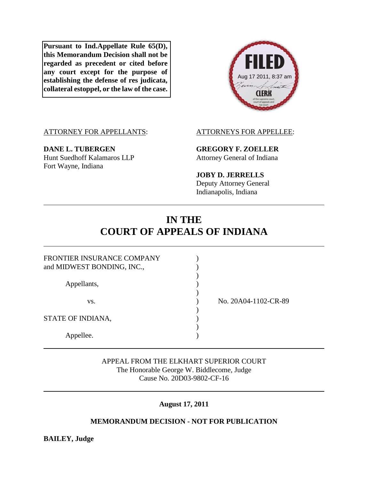**Pursuant to Ind.Appellate Rule 65(D), this Memorandum Decision shall not be regarded as precedent or cited before any court except for the purpose of establishing the defense of res judicata, collateral estoppel, or the law of the case.**



# ATTORNEY FOR APPELLANTS: ATTORNEYS FOR APPELLEE:

**DANE L. TUBERGEN GREGORY F. ZOELLER** Hunt Suedhoff Kalamaros LLP Attorney General of Indiana Fort Wayne, Indiana

**JOBY D. JERRELLS**

Deputy Attorney General Indianapolis, Indiana

# **IN THE COURT OF APPEALS OF INDIANA**

| FRONTIER INSURANCE COMPANY |                      |
|----------------------------|----------------------|
| and MIDWEST BONDING, INC., |                      |
|                            |                      |
| Appellants,                |                      |
|                            |                      |
| VS.                        | No. 20A04-1102-CR-89 |
|                            |                      |
| STATE OF INDIANA,          |                      |
|                            |                      |
| Appellee.                  |                      |

APPEAL FROM THE ELKHART SUPERIOR COURT The Honorable George W. Biddlecome, Judge Cause No. 20D03-9802-CF-16

**August 17, 2011**

# **MEMORANDUM DECISION - NOT FOR PUBLICATION**

**BAILEY, Judge**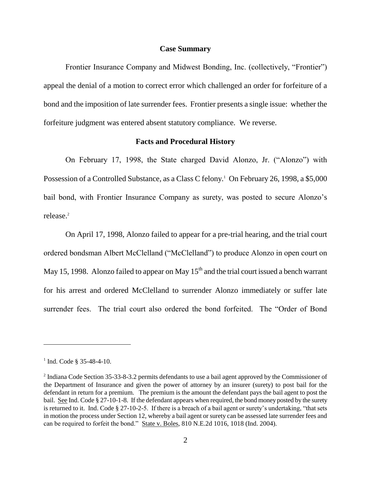#### **Case Summary**

Frontier Insurance Company and Midwest Bonding, Inc. (collectively, "Frontier") appeal the denial of a motion to correct error which challenged an order for forfeiture of a bond and the imposition of late surrender fees. Frontier presents a single issue: whether the forfeiture judgment was entered absent statutory compliance. We reverse.

## **Facts and Procedural History**

On February 17, 1998, the State charged David Alonzo, Jr. ("Alonzo") with Possession of a Controlled Substance, as a Class C felony.<sup>1</sup> On February 26, 1998, a \$5,000 bail bond, with Frontier Insurance Company as surety, was posted to secure Alonzo's release.<sup>2</sup>

On April 17, 1998, Alonzo failed to appear for a pre-trial hearing, and the trial court ordered bondsman Albert McClelland ("McClelland") to produce Alonzo in open court on May 15, 1998. Alonzo failed to appear on May  $15<sup>th</sup>$  and the trial court issued a bench warrant for his arrest and ordered McClelland to surrender Alonzo immediately or suffer late surrender fees. The trial court also ordered the bond forfeited. The "Order of Bond

 $1$  Ind. Code § 35-48-4-10.

 $2$  Indiana Code Section 35-33-8-3.2 permits defendants to use a bail agent approved by the Commissioner of the Department of Insurance and given the power of attorney by an insurer (surety) to post bail for the defendant in return for a premium. The premium is the amount the defendant pays the bail agent to post the bail. See Ind. Code § 27-10-1-8. If the defendant appears when required, the bond money posted by the surety is returned to it. Ind. Code § 27-10-2-5. If there is a breach of a bail agent or surety's undertaking, "that sets in motion the process under Section 12, whereby a bail agent or surety can be assessed late surrender fees and can be required to forfeit the bond." State v. Boles, 810 N.E.2d 1016, 1018 (Ind. 2004).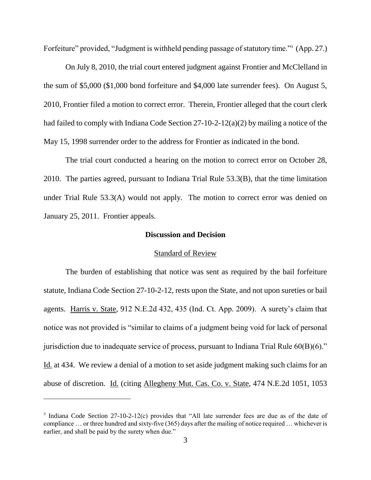Forfeiture" provided, "Judgment is withheld pending passage of statutory time."<sup>3</sup> (App. 27.)

On July 8, 2010, the trial court entered judgment against Frontier and McClelland in the sum of \$5,000 (\$1,000 bond forfeiture and \$4,000 late surrender fees). On August 5, 2010, Frontier filed a motion to correct error. Therein, Frontier alleged that the court clerk had failed to comply with Indiana Code Section 27-10-2-12(a)(2) by mailing a notice of the May 15, 1998 surrender order to the address for Frontier as indicated in the bond.

The trial court conducted a hearing on the motion to correct error on October 28, 2010. The parties agreed, pursuant to Indiana Trial Rule 53.3(B), that the time limitation under Trial Rule 53.3(A) would not apply. The motion to correct error was denied on January 25, 2011. Frontier appeals.

# **Discussion and Decision**

### Standard of Review

The burden of establishing that notice was sent as required by the bail forfeiture statute, Indiana Code Section 27-10-2-12, rests upon the State, and not upon sureties or bail agents. Harris v. State, 912 N.E.2d 432, 435 (Ind. Ct. App. 2009). A surety's claim that notice was not provided is "similar to claims of a judgment being void for lack of personal jurisdiction due to inadequate service of process, pursuant to Indiana Trial Rule 60(B)(6)." Id. at 434. We review a denial of a motion to set aside judgment making such claims for an abuse of discretion. Id. (citing Allegheny Mut. Cas. Co. v. State, 474 N.E.2d 1051, 1053

 $\overline{a}$ 

<sup>&</sup>lt;sup>3</sup> Indiana Code Section 27-10-2-12(c) provides that "All late surrender fees are due as of the date of compliance … or three hundred and sixty-five (365) days after the mailing of notice required … whichever is earlier, and shall be paid by the surety when due."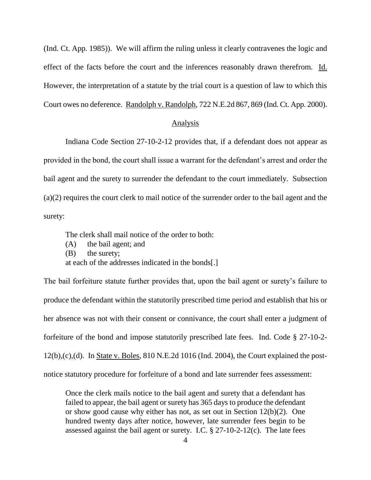(Ind. Ct. App. 1985)). We will affirm the ruling unless it clearly contravenes the logic and effect of the facts before the court and the inferences reasonably drawn therefrom. Id. However, the interpretation of a statute by the trial court is a question of law to which this Court owes no deference. Randolph v. Randolph, 722 N.E.2d 867, 869 (Ind. Ct. App. 2000).

### Analysis

Indiana Code Section 27-10-2-12 provides that, if a defendant does not appear as provided in the bond, the court shall issue a warrant for the defendant's arrest and order the bail agent and the surety to surrender the defendant to the court immediately. Subsection (a)(2) requires the court clerk to mail notice of the surrender order to the bail agent and the surety:

The clerk shall mail notice of the order to both:

(A) the bail agent; and

(B) the surety;

at each of the addresses indicated in the bonds[.]

The bail forfeiture statute further provides that, upon the bail agent or surety's failure to produce the defendant within the statutorily prescribed time period and establish that his or her absence was not with their consent or connivance, the court shall enter a judgment of forfeiture of the bond and impose statutorily prescribed late fees. Ind. Code § 27-10-2-  $12(b)$ ,(c),(d). In State v. Boles,  $810$  N.E.2d  $1016$  (Ind. 2004), the Court explained the postnotice statutory procedure for forfeiture of a bond and late surrender fees assessment:

Once the clerk mails notice to the bail agent and surety that a defendant has failed to appear, the bail agent or surety has 365 days to produce the defendant or show good cause why either has not, as set out in Section 12(b)(2). One hundred twenty days after notice, however, late surrender fees begin to be assessed against the bail agent or surety. I.C. § 27-10-2-12(c). The late fees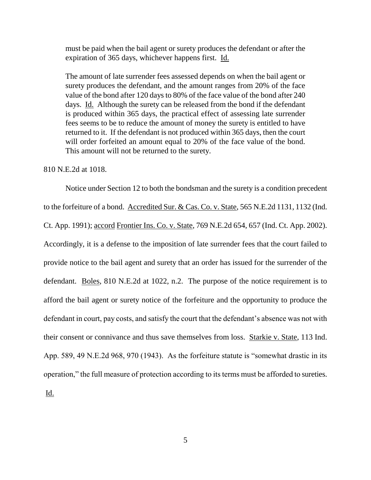must be paid when the bail agent or surety produces the defendant or after the expiration of 365 days, whichever happens first. Id.

The amount of late surrender fees assessed depends on when the bail agent or surety produces the defendant, and the amount ranges from 20% of the face value of the bond after 120 days to 80% of the face value of the bond after 240 days. Id. Although the surety can be released from the bond if the defendant is produced within 365 days, the practical effect of assessing late surrender fees seems to be to reduce the amount of money the surety is entitled to have returned to it. If the defendant is not produced within 365 days, then the court will order forfeited an amount equal to 20% of the face value of the bond. This amount will not be returned to the surety.

810 N.E.2d at 1018.

Notice under Section 12 to both the bondsman and the surety is a condition precedent to the forfeiture of a bond. Accredited Sur. & Cas. Co. v. State, 565 N.E.2d 1131, 1132 (Ind. Ct. App. 1991); accord Frontier Ins. Co. v. State, 769 N.E.2d 654, 657 (Ind. Ct. App. 2002). Accordingly, it is a defense to the imposition of late surrender fees that the court failed to provide notice to the bail agent and surety that an order has issued for the surrender of the defendant. Boles, 810 N.E.2d at 1022, n.2. The purpose of the notice requirement is to afford the bail agent or surety notice of the forfeiture and the opportunity to produce the defendant in court, pay costs, and satisfy the court that the defendant's absence was not with their consent or connivance and thus save themselves from loss. Starkie v. State, 113 Ind. App. 589, 49 N.E.2d 968, 970 (1943). As the forfeiture statute is "somewhat drastic in its operation," the full measure of protection according to its terms must be afforded to sureties. Id.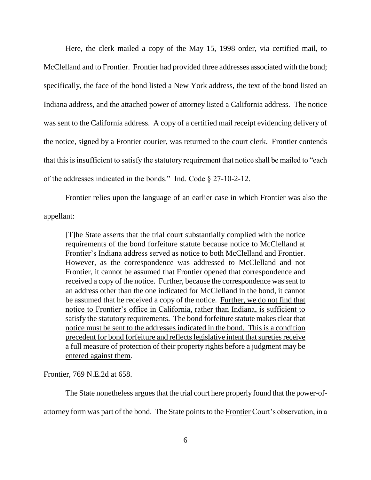Here, the clerk mailed a copy of the May 15, 1998 order, via certified mail, to McClelland and to Frontier. Frontier had provided three addresses associated with the bond; specifically, the face of the bond listed a New York address, the text of the bond listed an Indiana address, and the attached power of attorney listed a California address. The notice was sent to the California address. A copy of a certified mail receipt evidencing delivery of the notice, signed by a Frontier courier, was returned to the court clerk. Frontier contends that this is insufficient to satisfy the statutory requirement that notice shall be mailed to "each of the addresses indicated in the bonds." Ind. Code § 27-10-2-12.

Frontier relies upon the language of an earlier case in which Frontier was also the appellant:

[T]he State asserts that the trial court substantially complied with the notice requirements of the bond forfeiture statute because notice to McClelland at Frontier's Indiana address served as notice to both McClelland and Frontier. However, as the correspondence was addressed to McClelland and not Frontier, it cannot be assumed that Frontier opened that correspondence and received a copy of the notice. Further, because the correspondence was sent to an address other than the one indicated for McClelland in the bond, it cannot be assumed that he received a copy of the notice. Further, we do not find that notice to Frontier's office in California, rather than Indiana, is sufficient to satisfy the statutory requirements. The bond forfeiture statute makes clear that notice must be sent to the addresses indicated in the bond. This is a condition precedent for bond forfeiture and reflects legislative intent that sureties receive a full measure of protection of their property rights before a judgment may be entered against them.

Frontier, 769 N.E.2d at 658.

The State nonetheless argues that the trial court here properly found that the power-of-

attorney form was part of the bond. The State points to the Frontier Court's observation, in a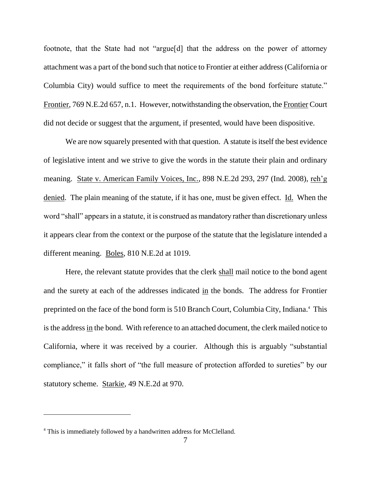footnote, that the State had not "argue[d] that the address on the power of attorney attachment was a part of the bond such that notice to Frontier at either address (California or Columbia City) would suffice to meet the requirements of the bond forfeiture statute." Frontier, 769 N.E.2d 657, n.1. However, notwithstanding the observation, the Frontier Court did not decide or suggest that the argument, if presented, would have been dispositive.

We are now squarely presented with that question. A statute is itself the best evidence of legislative intent and we strive to give the words in the statute their plain and ordinary meaning. State v. American Family Voices, Inc., 898 N.E.2d 293, 297 (Ind. 2008), reh'g denied. The plain meaning of the statute, if it has one, must be given effect. Id. When the word "shall" appears in a statute, it is construed as mandatory rather than discretionary unless it appears clear from the context or the purpose of the statute that the legislature intended a different meaning. Boles, 810 N.E.2d at 1019.

Here, the relevant statute provides that the clerk shall mail notice to the bond agent and the surety at each of the addresses indicated in the bonds. The address for Frontier preprinted on the face of the bond form is 510 Branch Court, Columbia City, Indiana.<sup>4</sup> This is the address in the bond. With reference to an attached document, the clerk mailed notice to California, where it was received by a courier. Although this is arguably "substantial compliance," it falls short of "the full measure of protection afforded to sureties" by our statutory scheme. Starkie, 49 N.E.2d at 970.

<sup>&</sup>lt;sup>4</sup> This is immediately followed by a handwritten address for McClelland.